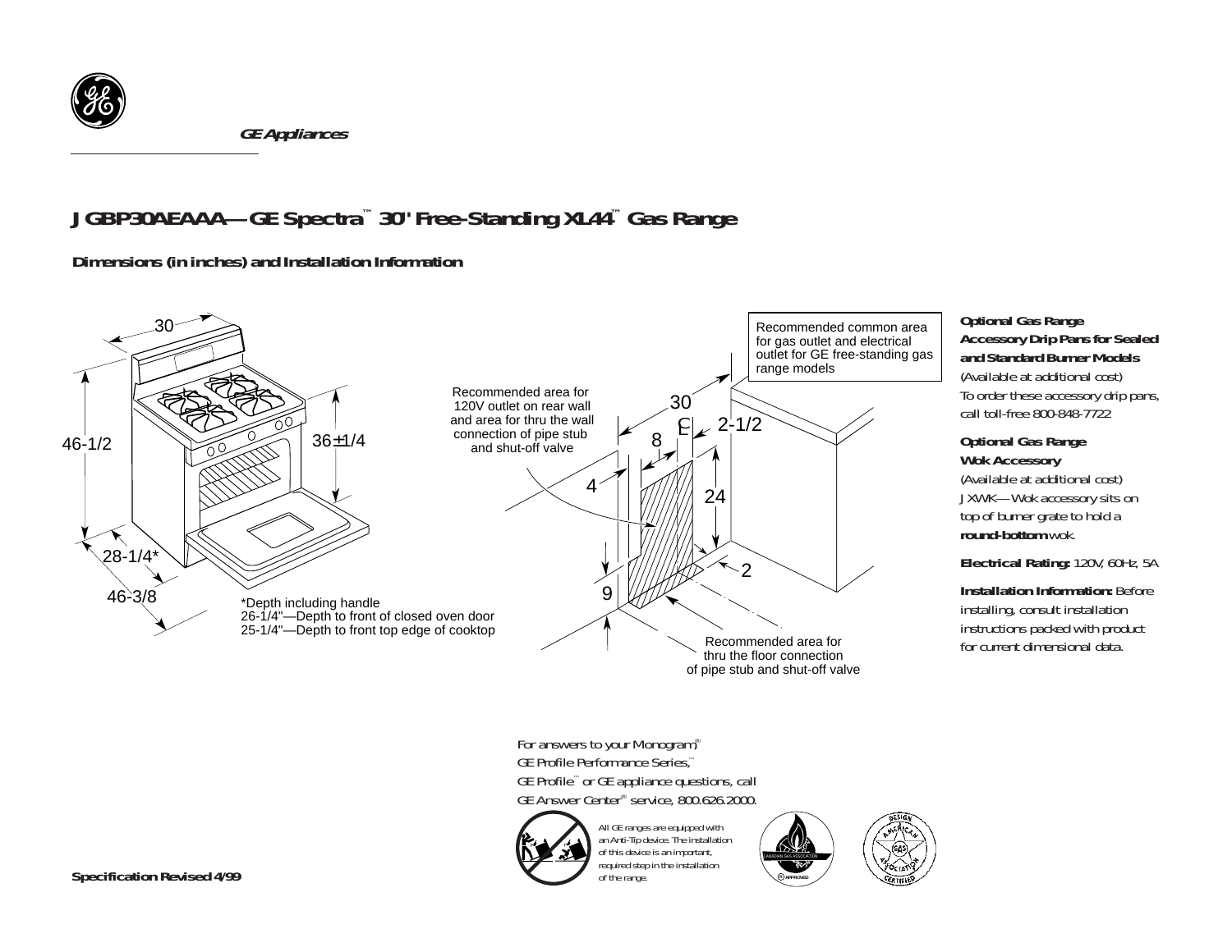

*GE Appliances*

# *JGBP30AEAAA—GE Spectra™ 30" Free-Standing XL44™ Gas Range*

*Dimensions (in inches) and Installation Information* 



required step in the installation

CANADIAN GAS ASSOCIATION **<sup>R</sup> APPROVED**

of the range.

### *Optional Gas Range Accessory Drip Pans for Sealed and Standard Burner Models*

(Available at additional cost) To order these accessory drip pans, call toll-free 800-848-7722

#### *Optional Gas Range Wok Accessory*

(Available at additional cost) JXWK—Wok accessory sits on top of burner grate to hold a *round-bottom* wok.

*Electrical Rating:* 120V, 60Hz, 5A

*Installation Information: Before* installing, consult installation instructions packed with product for current dimensional data.